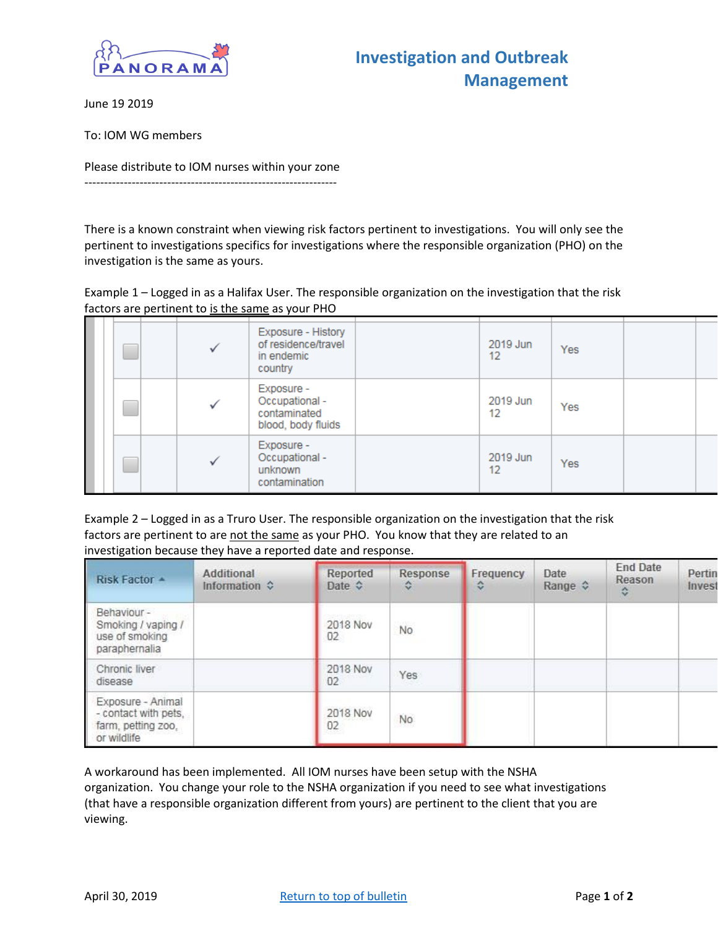

June 19 2019

To: IOM WG members

Please distribute to IOM nurses within your zone ----------------------------------------------------------------

There is a known constraint when viewing risk factors pertinent to investigations. You will only see the pertinent to investigations specifics for investigations where the responsible organization (PHO) on the investigation is the same as yours.

Example 1 – Logged in as a Halifax User. The responsible organization on the investigation that the risk factors are pertinent to is the same as your PHO

|  |  | Exposure - History<br>of residence/travel<br>in endemic<br>country | 2019 Jun<br>12 | <b>Yes</b> |  |
|--|--|--------------------------------------------------------------------|----------------|------------|--|
|  |  | Exposure -<br>Occupational -<br>contaminated<br>blood, body fluids | 2019 Jun<br>12 | Yes        |  |
|  |  | Exposure -<br>Occupational -<br>unknown<br>contamination           | 2019 Jun<br>12 | <b>Yes</b> |  |

Example 2 – Logged in as a Truro User. The responsible organization on the investigation that the risk factors are pertinent to are not the same as your PHO. You know that they are related to an investigation because they have a reported date and response.

| Risk Factor +                                                                  | Additional<br>Information $\diamond$ | Reported<br>Date $\diamond$ | Response<br>≎ | Frequency<br>٠ | Date<br>Range $\hat{\mathbf{v}}$ | <b>End Date</b><br>Reason<br>≎ | Pertin<br>Invest |
|--------------------------------------------------------------------------------|--------------------------------------|-----------------------------|---------------|----------------|----------------------------------|--------------------------------|------------------|
| Behaviour -<br>Smoking / vaping /<br>use of smoking<br>paraphernalia           |                                      | 2018 Nov<br>02              | <b>No</b>     |                |                                  |                                |                  |
| Chronic liver<br>disease                                                       |                                      | 2018 Nov<br>02 <sub>2</sub> | Yes           |                |                                  |                                |                  |
| Exposure - Animal<br>- contact with pets,<br>farm, petting zoo,<br>or wildlife |                                      | 2018 Nov<br>02              | No            |                |                                  |                                |                  |

A workaround has been implemented. All IOM nurses have been setup with the NSHA organization. You change your role to the NSHA organization if you need to see what investigations (that have a responsible organization different from yours) are pertinent to the client that you are viewing.